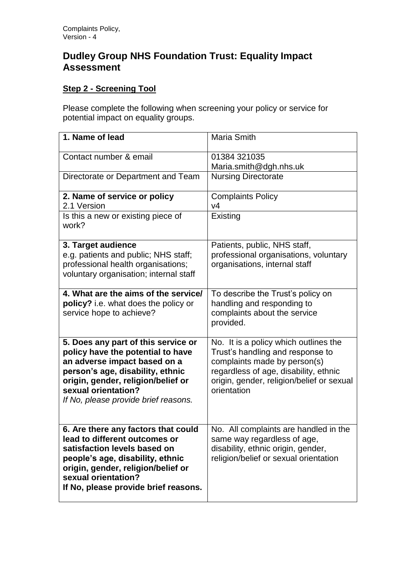## **Dudley Group NHS Foundation Trust: Equality Impact Assessment**

## **Step 2 - Screening Tool**

Please complete the following when screening your policy or service for potential impact on equality groups.

| 1. Name of lead                                                                                                                                                                                                                                   | <b>Maria Smith</b>                                                                                                                                                                                             |
|---------------------------------------------------------------------------------------------------------------------------------------------------------------------------------------------------------------------------------------------------|----------------------------------------------------------------------------------------------------------------------------------------------------------------------------------------------------------------|
| Contact number & email                                                                                                                                                                                                                            | 01384 321035<br>Maria.smith@dgh.nhs.uk                                                                                                                                                                         |
| Directorate or Department and Team                                                                                                                                                                                                                | <b>Nursing Directorate</b>                                                                                                                                                                                     |
| 2. Name of service or policy<br>2.1 Version                                                                                                                                                                                                       | <b>Complaints Policy</b><br>V <sub>4</sub>                                                                                                                                                                     |
| Is this a new or existing piece of<br>work?                                                                                                                                                                                                       | Existing                                                                                                                                                                                                       |
| 3. Target audience<br>e.g. patients and public; NHS staff;<br>professional health organisations;<br>voluntary organisation; internal staff                                                                                                        | Patients, public, NHS staff,<br>professional organisations, voluntary<br>organisations, internal staff                                                                                                         |
| 4. What are the aims of the service/<br>policy? i.e. what does the policy or<br>service hope to achieve?                                                                                                                                          | To describe the Trust's policy on<br>handling and responding to<br>complaints about the service<br>provided.                                                                                                   |
| 5. Does any part of this service or<br>policy have the potential to have<br>an adverse impact based on a<br>person's age, disability, ethnic<br>origin, gender, religion/belief or<br>sexual orientation?<br>If No, please provide brief reasons. | No. It is a policy which outlines the<br>Trust's handling and response to<br>complaints made by person(s)<br>regardless of age, disability, ethnic<br>origin, gender, religion/belief or sexual<br>orientation |
| 6. Are there any factors that could<br>lead to different outcomes or<br>satisfaction levels based on<br>people's age, disability, ethnic<br>origin, gender, religion/belief or<br>sexual orientation?<br>If No, please provide brief reasons.     | No. All complaints are handled in the<br>same way regardless of age,<br>disability, ethnic origin, gender,<br>religion/belief or sexual orientation                                                            |